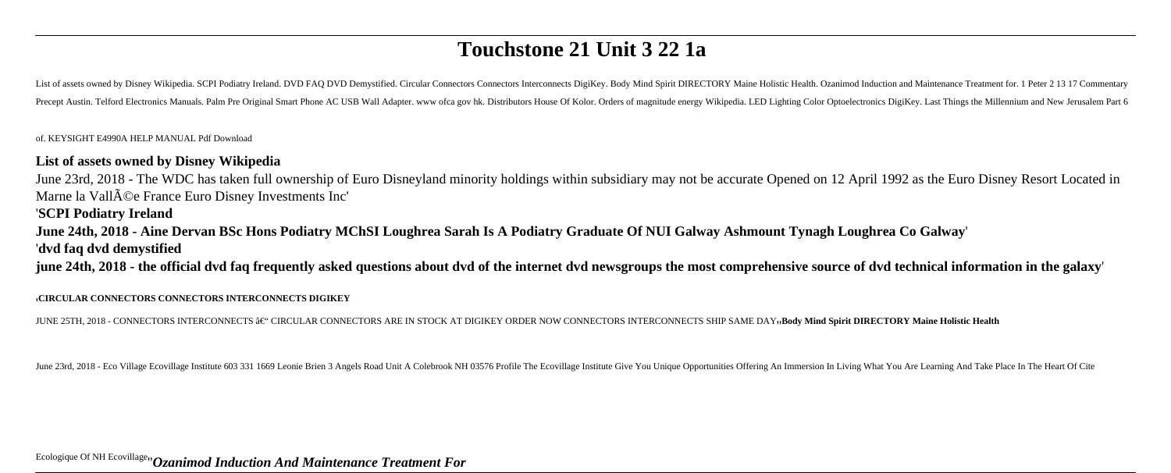# **Touchstone 21 Unit 3 22 1a**

List of assets owned by Disney Wikipedia. SCPI Podiatry Ireland. DVD FAQ DVD Demystified. Circular Connectors Connectors Interconnects DigiKey. Body Mind Spirit DIRECTORY Maine Holistic Health. Ozanimod Induction and Maint Precept Austin. Telford Electronics Manuals. Palm Pre Original Smart Phone AC USB Wall Adapter. www ofca gov hk. Distributors House Of Kolor. Orders of magnitude energy Wikipedia. LED Lighting Color Optoelectronics DigiKey

of. KEYSIGHT E4990A HELP MANUAL Pdf Download

## **List of assets owned by Disney Wikipedia**

June 23rd, 2018 - The WDC has taken full ownership of Euro Disneyland minority holdings within subsidiary may not be accurate Opened on 12 April 1992 as the Euro Disney Resort Located in Marne la Vall $\tilde{A}$ ©e France Euro Disney Investments Inc'

# '**SCPI Podiatry Ireland**

**June 24th, 2018 - Aine Dervan BSc Hons Podiatry MChSI Loughrea Sarah Is A Podiatry Graduate Of NUI Galway Ashmount Tynagh Loughrea Co Galway**'

### '**dvd faq dvd demystified**

**june 24th, 2018 - the official dvd faq frequently asked questions about dvd of the internet dvd newsgroups the most comprehensive source of dvd technical information in the galaxy**'

#### '**CIRCULAR CONNECTORS CONNECTORS INTERCONNECTS DIGIKEY**

JUNE 25TH, 2018 - CONNECTORS INTERCONNECTS â€<sup>"</sup> CIRCULAR CONNECTORS ARE IN STOCK AT DIGIKEY ORDER NOW CONNECTORS INTERCONNECTS SHIP SAME DAY<sub>'</sub>Body Mind Spirit DIRECTORY Maine Holistic Health

June 23rd, 2018 - Eco Village Ecovillage Institute 603 331 1669 Leonie Brien 3 Angels Road Unit A Colebrook NH 03576 Profile The Ecovillage Institute Give You Unique Opportunities Offering An Immersion In Living What You A

# Ecologique Of NH Ecovillage''*Ozanimod Induction And Maintenance Treatment For*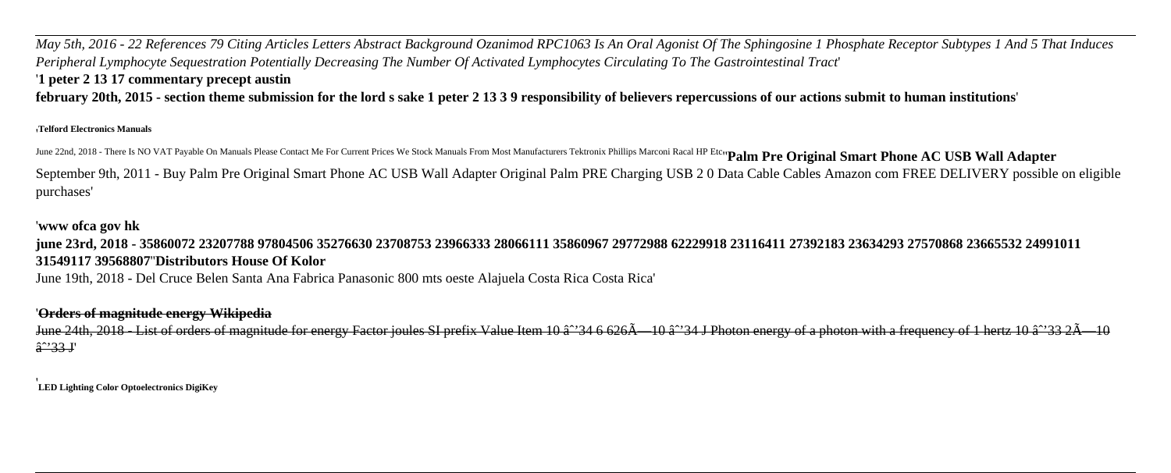*May 5th, 2016 - 22 References 79 Citing Articles Letters Abstract Background Ozanimod RPC1063 Is An Oral Agonist Of The Sphingosine 1 Phosphate Receptor Subtypes 1 And 5 That Induces Peripheral Lymphocyte Sequestration Potentially Decreasing The Number Of Activated Lymphocytes Circulating To The Gastrointestinal Tract*' '**1 peter 2 13 17 commentary precept austin**

**february 20th, 2015 - section theme submission for the lord s sake 1 peter 2 13 3 9 responsibility of believers repercussions of our actions submit to human institutions**'

#### '**Telford Electronics Manuals**

June 22nd, 2018 - There Is NO VAT Payable On Manuals Please Contact Me For Current Prices We Stock Manuals From Most Manufacturers Tektronix Phillips Marconi Racal HP Etc<sub>"</sub>Palm Pre Original Smart Phone AC USB Wall Adapter September 9th, 2011 - Buy Palm Pre Original Smart Phone AC USB Wall Adapter Original Palm PRE Charging USB 2 0 Data Cable Cables Amazon com FREE DELIVERY possible on eligible purchases'

# '**www ofca gov hk**

# **june 23rd, 2018 - 35860072 23207788 97804506 35276630 23708753 23966333 28066111 35860967 29772988 62229918 23116411 27392183 23634293 27570868 23665532 24991011 31549117 39568807**''**Distributors House Of Kolor**

June 19th, 2018 - Del Cruce Belen Santa Ana Fabrica Panasonic 800 mts oeste Alajuela Costa Rica Costa Rica'

### '**Orders of magnitude energy Wikipedia**

June 24th, 2018 - List of orders of magnitude for energy Factor joules SI prefix Value Item 10  $\hat{a}$  34 6 626 $\hat{A}$  - 10  $\hat{a}$ <sup>2</sup> 34 J Photon energy of a photon with a frequency of 1 hertz 10  $\hat{a}$ <sup>2</sup> 33 2 $\hat{A}$ â<sup>2</sup>33 J'

'**LED Lighting Color Optoelectronics DigiKey**